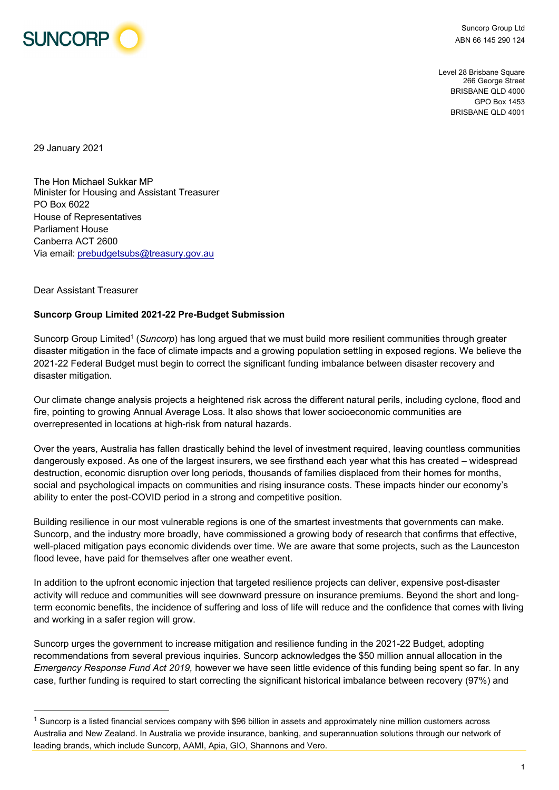

Suncorp Group Ltd ABN 66 145 290 124

Level 28 Brisbane Square 266 George Street BRISBANE QLD 4000 GPO Box 1453 BRISBANE QLD 4001

29 January 2021

The Hon Michael Sukkar MP Minister for Housing and Assistant Treasurer PO Box 6022 House of Representatives Parliament House Canberra ACT 2600 Via email: prebudgetsubs@treasury.gov.au

## Dear Assistant Treasurer

## **Suncorp Group Limited 2021-22 Pre-Budget Submission**

Suncorp Group Limited<sup>1</sup> (*Suncorp*) has long argued that we must build more resilient communities through greater disaster mitigation in the face of climate impacts and a growing population settling in exposed regions. We believe the 2021-22 Federal Budget must begin to correct the significant funding imbalance between disaster recovery and disaster mitigation.

Our climate change analysis projects a heightened risk across the different natural perils, including cyclone, flood and fire, pointing to growing Annual Average Loss. It also shows that lower socioeconomic communities are overrepresented in locations at high-risk from natural hazards.

Over the years, Australia has fallen drastically behind the level of investment required, leaving countless communities dangerously exposed. As one of the largest insurers, we see firsthand each year what this has created – widespread destruction, economic disruption over long periods, thousands of families displaced from their homes for months, social and psychological impacts on communities and rising insurance costs. These impacts hinder our economy's ability to enter the post-COVID period in a strong and competitive position.

Building resilience in our most vulnerable regions is one of the smartest investments that governments can make. Suncorp, and the industry more broadly, have commissioned a growing body of research that confirms that effective, well-placed mitigation pays economic dividends over time. We are aware that some projects, such as the Launceston flood levee, have paid for themselves after one weather event.

In addition to the upfront economic injection that targeted resilience projects can deliver, expensive post-disaster activity will reduce and communities will see downward pressure on insurance premiums. Beyond the short and longterm economic benefits, the incidence of suffering and loss of life will reduce and the confidence that comes with living and working in a safer region will grow.

Suncorp urges the government to increase mitigation and resilience funding in the 2021-22 Budget, adopting recommendations from several previous inquiries. Suncorp acknowledges the \$50 million annual allocation in the *Emergency Response Fund Act 2019,* however we have seen little evidence of this funding being spent so far. In any case, further funding is required to start correcting the significant historical imbalance between recovery (97%) and

 $1$  Suncorp is a listed financial services company with \$96 billion in assets and approximately nine million customers across Australia and New Zealand. In Australia we provide insurance, banking, and superannuation solutions through our network of leading brands, which include Suncorp, AAMI, Apia, GIO, Shannons and Vero.